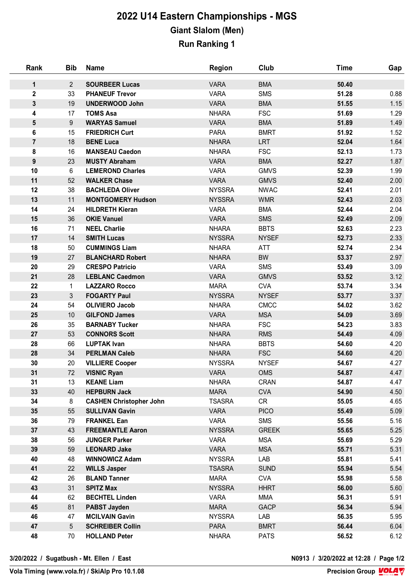## **2022 U14 Eastern Championships - MGS Giant Slalom (Men) Run Ranking 1**

| Rank                    | <b>Bib</b>      | <b>Name</b>                    | <b>Region</b> | Club         | <b>Time</b> | Gap  |
|-------------------------|-----------------|--------------------------------|---------------|--------------|-------------|------|
| $\mathbf 1$             | $2^{\circ}$     | <b>SOURBEER Lucas</b>          | <b>VARA</b>   | <b>BMA</b>   | 50.40       |      |
| $\overline{\mathbf{2}}$ | 33              | <b>PHANEUF Trevor</b>          | <b>VARA</b>   | <b>SMS</b>   | 51.28       | 0.88 |
| $\mathbf{3}$            | 19              | <b>UNDERWOOD John</b>          | <b>VARA</b>   | <b>BMA</b>   | 51.55       | 1.15 |
| 4                       | 17              | <b>TOMS Asa</b>                | <b>NHARA</b>  | <b>FSC</b>   | 51.69       | 1.29 |
| 5                       | 9               | <b>WARYAS Samuel</b>           | <b>VARA</b>   | <b>BMA</b>   | 51.89       | 1.49 |
| 6                       | 15              | <b>FRIEDRICH Curt</b>          | <b>PARA</b>   | <b>BMRT</b>  | 51.92       | 1.52 |
| $\overline{7}$          | 18              | <b>BENE Luca</b>               | <b>NHARA</b>  | <b>LRT</b>   | 52.04       | 1.64 |
| 8                       | 16              | <b>MANSEAU Caedon</b>          | <b>NHARA</b>  | <b>FSC</b>   | 52.13       | 1.73 |
| $\boldsymbol{9}$        | 23              | <b>MUSTY Abraham</b>           | <b>VARA</b>   | <b>BMA</b>   | 52.27       | 1.87 |
| 10                      | $6\phantom{.}6$ | <b>LEMEROND Charles</b>        | <b>VARA</b>   | <b>GMVS</b>  | 52.39       | 1.99 |
| 11                      | 52              | <b>WALKER Chase</b>            | <b>VARA</b>   | <b>GMVS</b>  | 52.40       | 2.00 |
| 12                      | 38              | <b>BACHLEDA Oliver</b>         | <b>NYSSRA</b> | <b>NWAC</b>  | 52.41       | 2.01 |
| 13                      | 11              | <b>MONTGOMERY Hudson</b>       | <b>NYSSRA</b> | <b>WMR</b>   | 52.43       | 2.03 |
| 14                      | 24              | <b>HILDRETH Kieran</b>         | <b>VARA</b>   | <b>BMA</b>   | 52.44       | 2.04 |
| 15                      | 36              | <b>OKIE Vanuel</b>             | <b>VARA</b>   | <b>SMS</b>   | 52.49       | 2.09 |
| 16                      | 71              | <b>NEEL Charlie</b>            | <b>NHARA</b>  | <b>BBTS</b>  | 52.63       | 2.23 |
| 17                      | 14              | <b>SMITH Lucas</b>             | <b>NYSSRA</b> | <b>NYSEF</b> | 52.73       | 2.33 |
| 18                      | 50              | <b>CUMMINGS Liam</b>           | <b>NHARA</b>  | ATT          | 52.74       | 2.34 |
| 19                      | 27              | <b>BLANCHARD Robert</b>        | <b>NHARA</b>  | <b>BW</b>    | 53.37       | 2.97 |
| 20                      | 29              | <b>CRESPO Patricio</b>         | <b>VARA</b>   | <b>SMS</b>   | 53.49       | 3.09 |
| 21                      | 28              | <b>LEBLANC Caedmon</b>         | <b>VARA</b>   | <b>GMVS</b>  | 53.52       | 3.12 |
| 22                      | $\mathbf{1}$    | <b>LAZZARO Rocco</b>           | <b>MARA</b>   | <b>CVA</b>   | 53.74       | 3.34 |
| 23                      | 3 <sup>1</sup>  | <b>FOGARTY Paul</b>            | <b>NYSSRA</b> | <b>NYSEF</b> | 53.77       | 3.37 |
| 24                      | 54              | <b>OLIVIERO Jacob</b>          | <b>NHARA</b>  | <b>CMCC</b>  | 54.02       | 3.62 |
| 25                      | 10              | <b>GILFOND James</b>           | <b>VARA</b>   | <b>MSA</b>   | 54.09       | 3.69 |
| 26                      | 35              | <b>BARNABY Tucker</b>          | <b>NHARA</b>  | <b>FSC</b>   | 54.23       | 3.83 |
| 27                      | 53              | <b>CONNORS Scott</b>           | <b>NHARA</b>  | <b>RMS</b>   | 54.49       | 4.09 |
| 28                      | 66              | <b>LUPTAK Ivan</b>             | <b>NHARA</b>  | <b>BBTS</b>  | 54.60       | 4.20 |
| 28                      | 34              | <b>PERLMAN Caleb</b>           | <b>NHARA</b>  | <b>FSC</b>   | 54.60       | 4.20 |
| 30                      | 20              | <b>VILLIERE Cooper</b>         | <b>NYSSRA</b> | <b>NYSEF</b> | 54.67       | 4.27 |
| 31                      | 72              | <b>VISNIC Ryan</b>             | <b>VARA</b>   | OMS          | 54.87       | 4.47 |
| 31                      | 13              | <b>KEANE Liam</b>              | <b>NHARA</b>  | <b>CRAN</b>  | 54.87       | 4.47 |
| 33                      | 40              | <b>HEPBURN Jack</b>            | <b>MARA</b>   | <b>CVA</b>   | 54.90       | 4.50 |
| 34                      | 8               | <b>CASHEN Christopher John</b> | <b>TSASRA</b> | CR           | 55.05       | 4.65 |
| 35                      | 55              | <b>SULLIVAN Gavin</b>          | <b>VARA</b>   | <b>PICO</b>  | 55.49       | 5.09 |
| 36                      | 79              | <b>FRANKEL Ean</b>             | <b>VARA</b>   | <b>SMS</b>   | 55.56       | 5.16 |
| 37                      | 43              | <b>FREEMANTLE Aaron</b>        | <b>NYSSRA</b> | <b>GREEK</b> | 55.65       | 5.25 |
| 38                      | 56              | <b>JUNGER Parker</b>           | <b>VARA</b>   | <b>MSA</b>   | 55.69       | 5.29 |
| 39                      | 59              | <b>LEONARD Jake</b>            | <b>VARA</b>   | <b>MSA</b>   | 55.71       | 5.31 |
| 40                      | 48              | <b>WINNOWICZ Adam</b>          | <b>NYSSRA</b> | LAB          | 55.81       | 5.41 |
| 41                      | 22              | <b>WILLS Jasper</b>            | <b>TSASRA</b> | <b>SUND</b>  | 55.94       | 5.54 |
| 42                      | 26              | <b>BLAND Tanner</b>            | <b>MARA</b>   | <b>CVA</b>   | 55.98       | 5.58 |
| 43                      | 31              | <b>SPITZ Max</b>               | <b>NYSSRA</b> | <b>HHRT</b>  | 56.00       | 5.60 |
| 44                      | 62              | <b>BECHTEL Linden</b>          | <b>VARA</b>   | <b>MMA</b>   | 56.31       | 5.91 |
| 45                      | 81              | <b>PABST Jayden</b>            | <b>MARA</b>   | <b>GACP</b>  | 56.34       | 5.94 |
| 46                      | 47              | <b>MCILVAIN Gavin</b>          | <b>NYSSRA</b> | LAB          | 56.35       | 5.95 |
| 47                      | 5 <sup>5</sup>  | <b>SCHREIBER Collin</b>        | PARA          | <b>BMRT</b>  | 56.44       | 6.04 |
| 48                      | 70              | <b>HOLLAND Peter</b>           | <b>NHARA</b>  | <b>PATS</b>  | 56.52       | 6.12 |